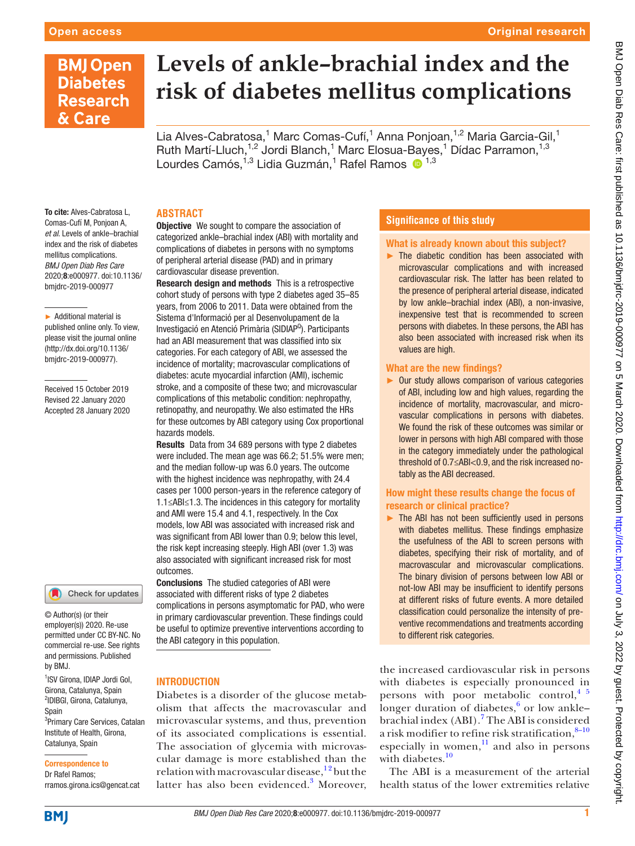# **BMJ Open Diabetes Research** & Care

# **Levels of ankle–brachial index and the risk of diabetes mellitus complications**

Lia Alves-Cabratosa,<sup>1</sup> Marc Comas-Cufí,<sup>1</sup> Anna Ponjoan,<sup>1,2</sup> Maria Garcia-Gil,<sup>1</sup> Ruth Martí-Lluch,<sup>1,2</sup> Jordi Blanch,<sup>1</sup> Marc Elosua-Bayes,<sup>1</sup> Dídac Parramon,<sup>1,3</sup> Lourdes Camós,<sup>1,3</sup> Lidia Guzmán,<sup>1</sup> Rafel Ramos <sup>1,3</sup>

To cite: Alves-Cabratosa L, Comas-Cufí M, Ponjoan A, *et al*. Levels of ankle–brachial index and the risk of diabetes mellitus complications. *BMJ Open Diab Res Care* 2020;8:e000977. doi:10.1136/ bmjdrc-2019-000977

► Additional material is published online only. To view, please visit the journal online (http://dx.doi.org/10.1136/ bmjdrc-2019-000977).

Received 15 October 2019 Revised 22 January 2020 Accepted 28 January 2020

#### Check for updates

© Author(s) (or their employer(s)) 2020. Re-use permitted under CC BY-NC. No commercial re-use. See rights and permissions. Published by BMJ.

1 ISV Girona, IDIAP Jordi Gol, Girona, Catalunya, Spain 2 IDIBGI, Girona, Catalunya, Spain 3 Primary Care Services, Catalan Institute of Health, Girona, Catalunya, Spain

#### Correspondence to

Dr Rafel Ramos; rramos.girona.ics@gencat.cat

#### **ABSTRACT**

**Objective** We sought to compare the association of categorized ankle–brachial index (ABI) with mortality and complications of diabetes in persons with no symptoms of peripheral arterial disease (PAD) and in primary cardiovascular disease prevention.

Research design and methods This is a retrospective cohort study of persons with type 2 diabetes aged 35–85 years, from 2006 to 2011. Data were obtained from the Sistema d'Informació per al Desenvolupament de la Investigació en Atenció Primària (SIDIAP<sup>Q</sup>). Participants had an ABI measurement that was classified into six categories. For each category of ABI, we assessed the incidence of mortality; macrovascular complications of diabetes: acute myocardial infarction (AMI), ischemic stroke, and a composite of these two; and microvascular complications of this metabolic condition: nephropathy, retinopathy, and neuropathy. We also estimated the HRs for these outcomes by ABI category using Cox proportional hazards models.

Results Data from 34 689 persons with type 2 diabetes were included. The mean age was 66.2; 51.5% were men; and the median follow-up was 6.0 years. The outcome with the highest incidence was nephropathy, with 24.4 cases per 1000 person-years in the reference category of 1.1≤ABI≤1.3. The incidences in this category for mortality and AMI were 15.4 and 4.1, respectively. In the Cox models, low ABI was associated with increased risk and was significant from ABI lower than 0.9; below this level, the risk kept increasing steeply. High ABI (over 1.3) was also associated with significant increased risk for most outcomes.

Conclusions The studied categories of ABI were associated with different risks of type 2 diabetes complications in persons asymptomatic for PAD, who were in primary cardiovascular prevention. These findings could be useful to optimize preventive interventions according to the ABI category in this population.

#### INTRODUCTION

Diabetes is a disorder of the glucose metabolism that affects the macrovascular and microvascular systems, and thus, prevention of its associated complications is essential. The association of glycemia with microvascular damage is more established than the relation with macrovascular disease,  $12$  but the latter has also been evidenced.<sup>[3](#page-8-1)</sup> Moreover,

# **Significance of this study**

#### What is already known about this subject?

► The diabetic condition has been associated with microvascular complications and with increased cardiovascular risk. The latter has been related to the presence of peripheral arterial disease, indicated by low ankle–brachial index (ABI), a non-invasive, inexpensive test that is recommended to screen persons with diabetes. In these persons, the ABI has also been associated with increased risk when its values are high.

#### What are the new findings?

► Our study allows comparison of various categories of ABI, including low and high values, regarding the incidence of mortality, macrovascular, and microvascular complications in persons with diabetes. We found the risk of these outcomes was similar or lower in persons with high ABI compared with those in the category immediately under the pathological threshold of 0.7≤ABI<0.9, and the risk increased notably as the ABI decreased.

#### How might these results change the focus of research or clinical practice?

► The ABI has not been sufficiently used in persons with diabetes mellitus. These findings emphasize the usefulness of the ABI to screen persons with diabetes, specifying their risk of mortality, and of macrovascular and microvascular complications. The binary division of persons between low ABI or not-low ABI may be insufficient to identify persons at different risks of future events. A more detailed classification could personalize the intensity of preventive recommendations and treatments according to different risk categories.

the increased cardiovascular risk in persons with diabetes is especially pronounced in persons with poor metabolic control,<sup>45</sup> longer duration of diabetes, $6$  or low ankle-brachial index (ABI).<sup>[7](#page-8-4)</sup> The ABI is considered a risk modifier to refine risk stratification,  $8-10$ especially in women, $\frac{11}{11}$  and also in persons with diabetes $\frac{10}{10}$  $\frac{10}{10}$  $\frac{10}{10}$ 

The ABI is a measurement of the arterial health status of the lower extremities relative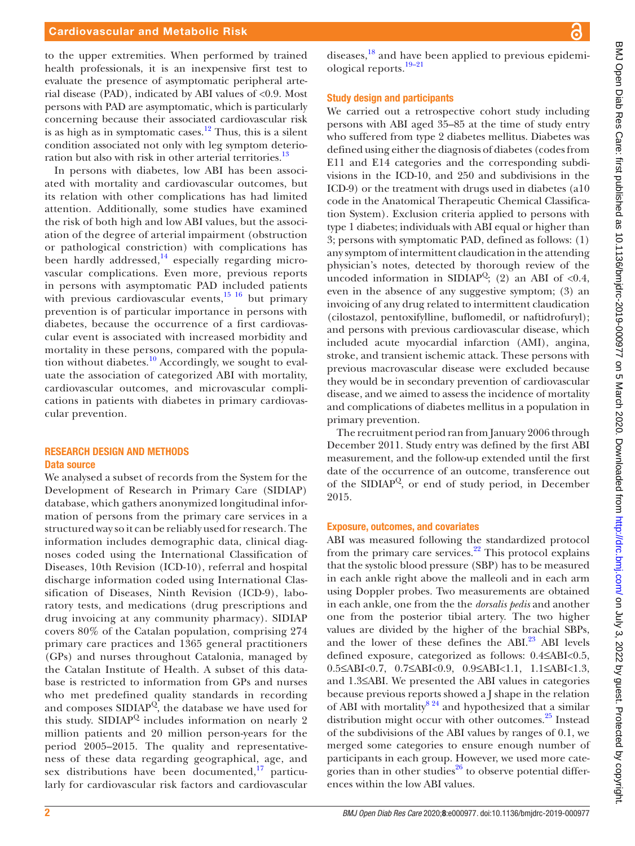to the upper extremities. When performed by trained health professionals, it is an inexpensive first test to evaluate the presence of asymptomatic peripheral arterial disease (PAD), indicated by ABI values of <0.9. Most persons with PAD are asymptomatic, which is particularly concerning because their associated cardiovascular risk is as high as in symptomatic cases.<sup>12</sup> Thus, this is a silent condition associated not only with leg symptom deterioration but also with risk in other arterial territories.<sup>13</sup>

In persons with diabetes, low ABI has been associated with mortality and cardiovascular outcomes, but its relation with other complications has had limited attention. Additionally, some studies have examined the risk of both high and low ABI values, but the association of the degree of arterial impairment (obstruction or pathological constriction) with complications has been hardly addressed, $^{14}$  $^{14}$  $^{14}$  especially regarding microvascular complications. Even more, previous reports in persons with asymptomatic PAD included patients with previous cardiovascular events, $^{15}$  <sup>16</sup> but primary prevention is of particular importance in persons with diabetes, because the occurrence of a first cardiovascular event is associated with increased morbidity and mortality in these persons, compared with the population without diabetes.<sup>10</sup> Accordingly, we sought to evaluate the association of categorized ABI with mortality, cardiovascular outcomes, and microvascular complications in patients with diabetes in primary cardiovascular prevention.

#### RESEARCH DESIGN AND METHODS Data source

We analysed a subset of records from the System for the Development of Research in Primary Care (SIDIAP) database, which gathers anonymized longitudinal information of persons from the primary care services in a structured way so it can be reliably used for research. The information includes demographic data, clinical diagnoses coded using the International Classification of Diseases, 10th Revision (ICD-10), referral and hospital discharge information coded using International Classification of Diseases, Ninth Revision (ICD-9), laboratory tests, and medications (drug prescriptions and drug invoicing at any community pharmacy). SIDIAP covers 80% of the Catalan population, comprising 274 primary care practices and 1365 general practitioners (GPs) and nurses throughout Catalonia, managed by the Catalan Institute of Health. A subset of this database is restricted to information from GPs and nurses who met predefined quality standards in recording and composes  $SIDIAP^Q$ , the database we have used for this study. SIDIAP<sup>Q</sup> includes information on nearly 2 million patients and 20 million person-years for the period 2005–2015. The quality and representativeness of these data regarding geographical, age, and sex distributions have been documented, $17$  particularly for cardiovascular risk factors and cardiovascular

diseases, $\frac{18}{3}$  $\frac{18}{3}$  $\frac{18}{3}$  and have been applied to previous epidemiological reports.[19–21](#page-8-14)

#### Study design and participants

We carried out a retrospective cohort study including persons with ABI aged 35–85 at the time of study entry who suffered from type 2 diabetes mellitus. Diabetes was defined using either the diagnosis of diabetes (codes from E11 and E14 categories and the corresponding subdivisions in the ICD-10, and 250 and subdivisions in the ICD-9) or the treatment with drugs used in diabetes (a10 code in the Anatomical Therapeutic Chemical Classification System). Exclusion criteria applied to persons with type 1 diabetes; individuals with ABI equal or higher than 3; persons with symptomatic PAD, defined as follows: (1) any symptom of intermittent claudication in the attending physician's notes, detected by thorough review of the uncoded information in SIDIAP<sup>Q</sup>; (2) an ABI of  $\langle 0.4, \rangle$ even in the absence of any suggestive symptom; (3) an invoicing of any drug related to intermittent claudication (cilostazol, pentoxifylline, buflomedil, or naftidrofuryl); and persons with previous cardiovascular disease, which included acute myocardial infarction (AMI), angina, stroke, and transient ischemic attack. These persons with previous macrovascular disease were excluded because they would be in secondary prevention of cardiovascular disease, and we aimed to assess the incidence of mortality and complications of diabetes mellitus in a population in primary prevention.

The recruitment period ran from January 2006 through December 2011. Study entry was defined by the first ABI measurement, and the follow-up extended until the first date of the occurrence of an outcome, transference out of the SIDIAP<sup>Q</sup>, or end of study period, in December 2015.

#### Exposure, outcomes, and covariates

ABI was measured following the standardized protocol from the primary care services.<sup>[22](#page-8-15)</sup> This protocol explains that the systolic blood pressure (SBP) has to be measured in each ankle right above the malleoli and in each arm using Doppler probes. Two measurements are obtained in each ankle, one from the the *dorsalis pedis* and another one from the posterior tibial artery. The two higher values are divided by the higher of the brachial SBPs, and the lower of these defines the ABI.<sup>[23](#page-8-16)</sup> ABI levels defined exposure, categorized as follows: 0.4≤ABI<0.5, 0.5≤ABI<0.7, 0.7≤ABI<0.9, 0.9≤ABI<1.1, 1.1≤ABI<1.3, and 1.3≤ABI. We presented the ABI values in categories because previous reports showed a J shape in the relation of ABI with mortality  $8^{24}$  and hypothesized that a similar distribution might occur with other outcomes.<sup>[25](#page-8-17)</sup> Instead of the subdivisions of the ABI values by ranges of 0.1, we merged some categories to ensure enough number of participants in each group. However, we used more categories than in other studies $^{26}$  $^{26}$  $^{26}$  to observe potential differences within the low ABI values.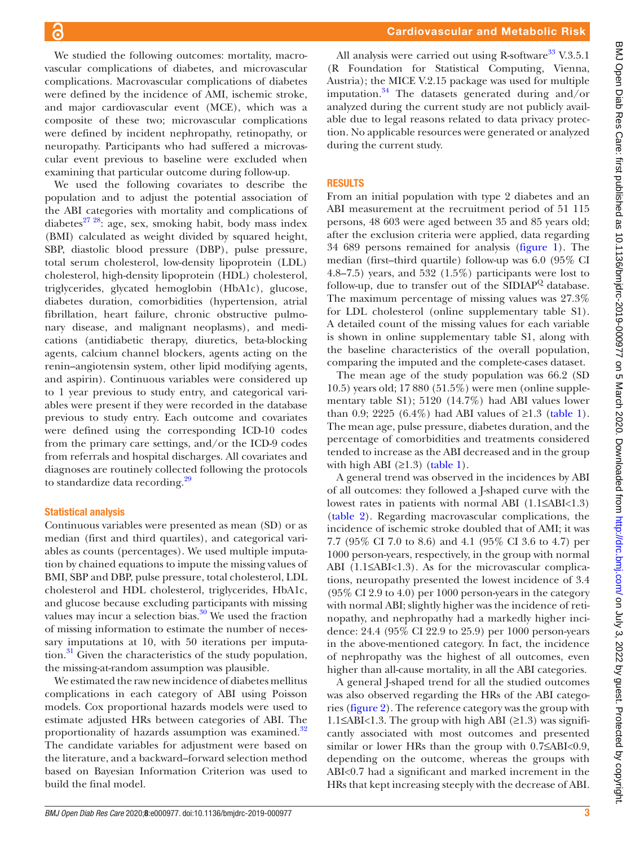We studied the following outcomes: mortality, macrovascular complications of diabetes, and microvascular complications. Macrovascular complications of diabetes were defined by the incidence of AMI, ischemic stroke, and major cardiovascular event (MCE), which was a composite of these two; microvascular complications were defined by incident nephropathy, retinopathy, or neuropathy. Participants who had suffered a microvascular event previous to baseline were excluded when examining that particular outcome during follow-up.

We used the following covariates to describe the population and to adjust the potential association of the ABI categories with mortality and complications of diabetes $^{27}$   $^{28}$ : age, sex, smoking habit, body mass index (BMI) calculated as weight divided by squared height, SBP, diastolic blood pressure (DBP), pulse pressure, total serum cholesterol, low-density lipoprotein (LDL) cholesterol, high-density lipoprotein (HDL) cholesterol, triglycerides, glycated hemoglobin (HbA1c), glucose, diabetes duration, comorbidities (hypertension, atrial fibrillation, heart failure, chronic obstructive pulmonary disease, and malignant neoplasms), and medications (antidiabetic therapy, diuretics, beta-blocking agents, calcium channel blockers, agents acting on the renin–angiotensin system, other lipid modifying agents, and aspirin). Continuous variables were considered up to 1 year previous to study entry, and categorical variables were present if they were recorded in the database previous to study entry. Each outcome and covariates were defined using the corresponding ICD-10 codes from the primary care settings, and/or the ICD-9 codes from referrals and hospital discharges. All covariates and diagnoses are routinely collected following the protocols to standardize data recording.<sup>[29](#page-8-20)</sup>

# Statistical analysis

Continuous variables were presented as mean (SD) or as median (first and third quartiles), and categorical variables as counts (percentages). We used multiple imputation by chained equations to impute the missing values of BMI, SBP and DBP, pulse pressure, total cholesterol, LDL cholesterol and HDL cholesterol, triglycerides, HbA1c, and glucose because excluding participants with missing values may incur a selection bias. $30$  We used the fraction of missing information to estimate the number of necessary imputations at 10, with 50 iterations per imputation. $31$  Given the characteristics of the study population, the missing-at-random assumption was plausible.

We estimated the raw new incidence of diabetes mellitus complications in each category of ABI using Poisson models. Cox proportional hazards models were used to estimate adjusted HRs between categories of ABI. The proportionality of hazards assumption was examined.<sup>32</sup> The candidate variables for adjustment were based on the literature, and a backward–forward selection method based on Bayesian Information Criterion was used to build the final model.

All analysis were carried out using R-software<sup>33</sup> V.3.5.1 (R Foundation for Statistical Computing, Vienna, Austria); the MICE V.2.15 package was used for multiple imputation.<sup>34</sup> The datasets generated during and/or analyzed during the current study are not publicly available due to legal reasons related to data privacy protection. No applicable resources were generated or analyzed during the current study.

# RESULTS

From an initial population with type 2 diabetes and an ABI measurement at the recruitment period of 51 115 persons, 48 603 were aged between 35 and 85 years old; after the exclusion criteria were applied, data regarding 34 689 persons remained for analysis ([figure](#page-3-0) 1). The median (first–third quartile) follow-up was 6.0 (95% CI 4.8–7.5) years, and 532 (1.5%) participants were lost to follow-up, due to transfer out of the  $SIDIAP^Q$  database. The maximum percentage of missing values was 27.3% for LDL cholesterol ([online supplementary table S1](https://dx.doi.org/10.1136/bmjdrc-2019-000977)). A detailed count of the missing values for each variable is shown in [online supplementary table S1,](https://dx.doi.org/10.1136/bmjdrc-2019-000977) along with the baseline characteristics of the overall population, comparing the imputed and the complete-cases dataset.

The mean age of the study population was 66.2 (SD 10.5) years old; 17 880 (51.5%) were men ([online supple](https://dx.doi.org/10.1136/bmjdrc-2019-000977)[mentary table S1\)](https://dx.doi.org/10.1136/bmjdrc-2019-000977); 5120 (14.7%) had ABI values lower than 0.9; 2225 (6.4%) had ABI values of  $\geq 1.3$  [\(table](#page-4-0) 1). The mean age, pulse pressure, diabetes duration, and the percentage of comorbidities and treatments considered tended to increase as the ABI decreased and in the group with high ABI  $(\geq 1.3)$  ([table](#page-4-0) 1).

A general trend was observed in the incidences by ABI of all outcomes: they followed a J-shaped curve with the lowest rates in patients with normal ABI (1.1≤ABI<1.3) [\(table](#page-5-0) 2). Regarding macrovascular complications, the incidence of ischemic stroke doubled that of AMI; it was 7.7 (95% CI 7.0 to 8.6) and 4.1 (95% CI 3.6 to 4.7) per 1000 person-years, respectively, in the group with normal ABI (1.1≤ABI<1.3). As for the microvascular complications, neuropathy presented the lowest incidence of 3.4 (95% CI 2.9 to 4.0) per 1000 person-years in the category with normal ABI; slightly higher was the incidence of retinopathy, and nephropathy had a markedly higher incidence: 24.4 (95% CI 22.9 to 25.9) per 1000 person-years in the above-mentioned category. In fact, the incidence of nephropathy was the highest of all outcomes, even higher than all-cause mortality, in all the ABI categories.

A general J-shaped trend for all the studied outcomes was also observed regarding the HRs of the ABI categories ([figure](#page-6-0) 2). The reference category was the group with 1.1≤ABI<1.3. The group with high ABI (≥1.3) was significantly associated with most outcomes and presented similar or lower HRs than the group with 0.7≤ABI<0.9, depending on the outcome, whereas the groups with ABI<0.7 had a significant and marked increment in the HRs that kept increasing steeply with the decrease of ABI.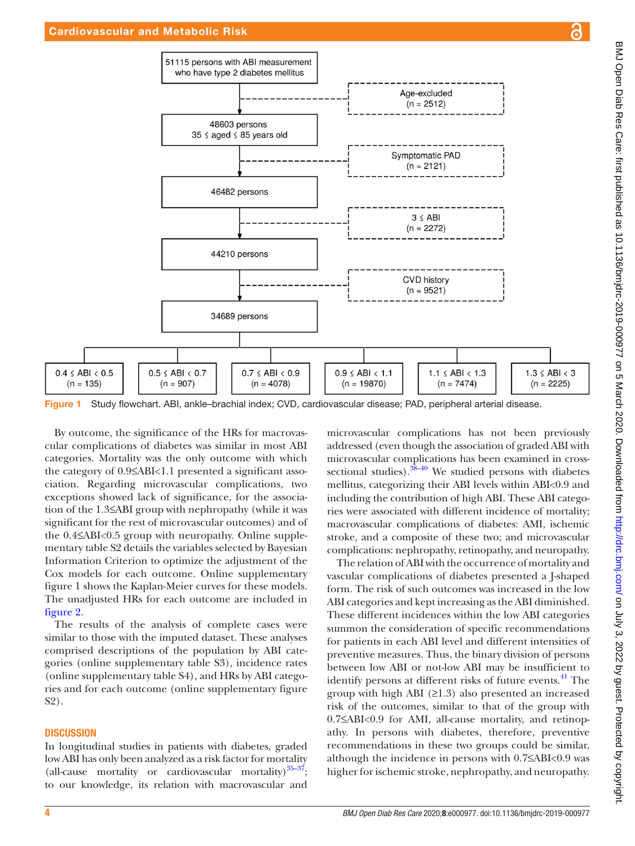

<span id="page-3-0"></span>By outcome, the significance of the HRs for macrovascular complications of diabetes was similar in most ABI categories. Mortality was the only outcome with which the category of 0.9≤ABI<1.1 presented a significant association. Regarding microvascular complications, two exceptions showed lack of significance, for the association of the 1.3≤ABI group with nephropathy (while it was significant for the rest of microvascular outcomes) and of the 0.4≤ABI<0.5 group with neuropathy. [Online supple](https://dx.doi.org/10.1136/bmjdrc-2019-000977)[mentary table S2](https://dx.doi.org/10.1136/bmjdrc-2019-000977) details the variables selected by Bayesian Information Criterion to optimize the adjustment of the Cox models for each outcome. [Online supplementary](https://dx.doi.org/10.1136/bmjdrc-2019-000977) [figure 1](https://dx.doi.org/10.1136/bmjdrc-2019-000977) shows the Kaplan-Meier curves for these models. The unadjusted HRs for each outcome are included in [figure](#page-6-0) 2.

The results of the analysis of complete cases were similar to those with the imputed dataset. These analyses comprised descriptions of the population by ABI categories [\(online supplementary table S3](https://dx.doi.org/10.1136/bmjdrc-2019-000977)), incidence rates [\(online supplementary table S4\)](https://dx.doi.org/10.1136/bmjdrc-2019-000977), and HRs by ABI categories and for each outcome ([online supplementary figure](https://dx.doi.org/10.1136/bmjdrc-2019-000977) [S2](https://dx.doi.org/10.1136/bmjdrc-2019-000977)).

# **DISCUSSION**

In longitudinal studies in patients with diabetes, graded low ABI has only been analyzed as a risk factor for mortality (all-cause mortality or cardiovascular mortality)<sup>35-37</sup>; to our knowledge, its relation with macrovascular and

microvascular complications has not been previously addressed (even though the association of graded ABI with microvascular complications has been examined in crosssectional studies). $38-40$  We studied persons with diabetes mellitus, categorizing their ABI levels within ABI<0.9 and including the contribution of high ABI. These ABI categories were associated with different incidence of mortality; macrovascular complications of diabetes: AMI, ischemic stroke, and a composite of these two; and microvascular complications: nephropathy, retinopathy, and neuropathy.

The relation of ABI with the occurrence of mortality and vascular complications of diabetes presented a J-shaped form. The risk of such outcomes was increased in the low ABI categories and kept increasing as the ABI diminished. These different incidences within the low ABI categories summon the consideration of specific recommendations for patients in each ABI level and different intensities of preventive measures. Thus, the binary division of persons between low ABI or not-low ABI may be insufficient to identify persons at different risks of future events.<sup>41</sup> The group with high ABI  $(\geq 1.3)$  also presented an increased risk of the outcomes, similar to that of the group with 0.7≤ABI<0.9 for AMI, all-cause mortality, and retinopathy. In persons with diabetes, therefore, preventive recommendations in these two groups could be similar, although the incidence in persons with 0.7≤ABI<0.9 was higher for ischemic stroke, nephropathy, and neuropathy.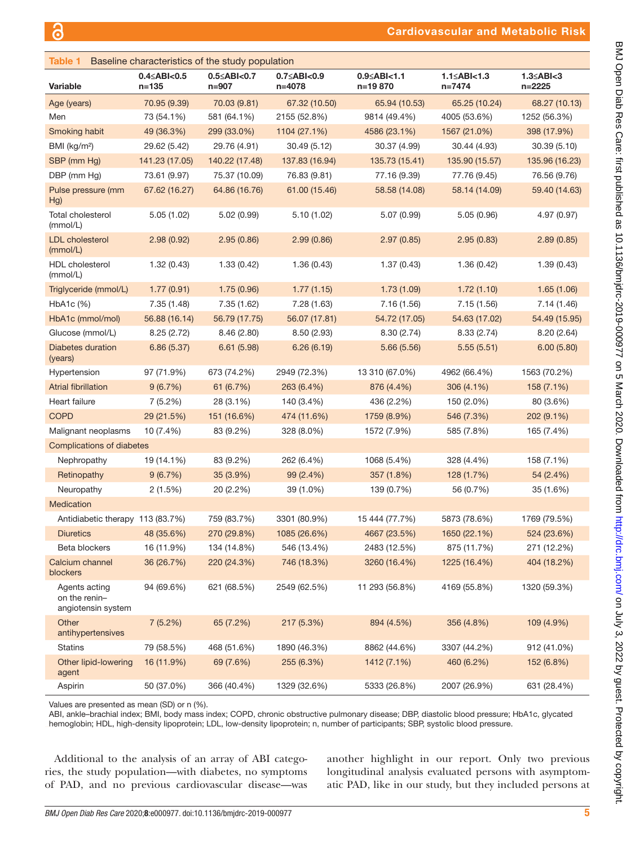<span id="page-4-0"></span>

| Table 1                                              |                          | Baseline characteristics of the study population |                       |                        |                       |                                  |
|------------------------------------------------------|--------------------------|--------------------------------------------------|-----------------------|------------------------|-----------------------|----------------------------------|
| Variable                                             | 0.4≤ABI<0.5<br>$n = 135$ | 0.5≤ABI<0.7<br>$n = 907$                         | 0.7≤ABI<0.9<br>n=4078 | 0.9≤ABI<1.1<br>n=19870 | 1.1≤ABI<1.3<br>n=7474 | $1.3 \leq ABI < 3$<br>$n = 2225$ |
| Age (years)                                          | 70.95 (9.39)             | 70.03 (9.81)                                     | 67.32 (10.50)         | 65.94 (10.53)          | 65.25 (10.24)         | 68.27 (10.13)                    |
| Men                                                  | 73 (54.1%)               | 581 (64.1%)                                      | 2155 (52.8%)          | 9814 (49.4%)           | 4005 (53.6%)          | 1252 (56.3%)                     |
| Smoking habit                                        | 49 (36.3%)               | 299 (33.0%)                                      | 1104 (27.1%)          | 4586 (23.1%)           | 1567 (21.0%)          | 398 (17.9%)                      |
| BMI (kg/m <sup>2</sup> )                             | 29.62 (5.42)             | 29.76 (4.91)                                     | 30.49 (5.12)          | 30.37 (4.99)           | 30.44 (4.93)          | 30.39(5.10)                      |
| SBP (mm Hg)                                          | 141.23 (17.05)           | 140.22 (17.48)                                   | 137.83 (16.94)        | 135.73 (15.41)         | 135.90 (15.57)        | 135.96 (16.23)                   |
| DBP (mm Hg)                                          | 73.61 (9.97)             | 75.37 (10.09)                                    | 76.83 (9.81)          | 77.16 (9.39)           | 77.76 (9.45)          | 76.56 (9.76)                     |
| Pulse pressure (mm<br>Hg)                            | 67.62 (16.27)            | 64.86 (16.76)                                    | 61.00 (15.46)         | 58.58 (14.08)          | 58.14 (14.09)         | 59.40 (14.63)                    |
| Total cholesterol<br>(mmol/L)                        | 5.05(1.02)               | 5.02(0.99)                                       | 5.10(1.02)            | 5.07(0.99)             | 5.05(0.96)            | 4.97(0.97)                       |
| <b>LDL</b> cholesterol<br>(mmol/L)                   | 2.98(0.92)               | 2.95(0.86)                                       | 2.99(0.86)            | 2.97(0.85)             | 2.95(0.83)            | 2.89(0.85)                       |
| <b>HDL</b> cholesterol<br>(mmol/L)                   | 1.32(0.43)               | 1.33(0.42)                                       | 1.36(0.43)            | 1.37(0.43)             | 1.36(0.42)            | 1.39(0.43)                       |
| Triglyceride (mmol/L)                                | 1.77(0.91)               | 1.75(0.96)                                       | 1.77(1.15)            | 1.73(1.09)             | 1.72(1.10)            | 1.65(1.06)                       |
| HbA1c (%)                                            | 7.35 (1.48)              | 7.35 (1.62)                                      | 7.28 (1.63)           | 7.16 (1.56)            | 7.15(1.56)            | 7.14(1.46)                       |
| HbA1c (mmol/mol)                                     | 56.88 (16.14)            | 56.79 (17.75)                                    | 56.07 (17.81)         | 54.72 (17.05)          | 54.63 (17.02)         | 54.49 (15.95)                    |
| Glucose (mmol/L)                                     | 8.25(2.72)               | 8.46(2.80)                                       | 8.50(2.93)            | 8.30 (2.74)            | 8.33(2.74)            | 8.20(2.64)                       |
| Diabetes duration<br>(years)                         | 6.86(5.37)               | 6.61(5.98)                                       | 6.26(6.19)            | 5.66(5.56)             | 5.55(5.51)            | 6.00(5.80)                       |
| Hypertension                                         | 97 (71.9%)               | 673 (74.2%)                                      | 2949 (72.3%)          | 13 310 (67.0%)         | 4962 (66.4%)          | 1563 (70.2%)                     |
| Atrial fibrillation                                  | 9(6.7%)                  | 61 (6.7%)                                        | 263 (6.4%)            | 876 (4.4%)             | 306 (4.1%)            | 158 (7.1%)                       |
| Heart failure                                        | 7(5.2%)                  | 28 (3.1%)                                        | 140 (3.4%)            | 436 (2.2%)             | 150 (2.0%)            | 80 (3.6%)                        |
| <b>COPD</b>                                          | 29 (21.5%)               | 151 (16.6%)                                      | 474 (11.6%)           | 1759 (8.9%)            | 546 (7.3%)            | 202 (9.1%)                       |
| Malignant neoplasms                                  | 10 (7.4%)                | 83 (9.2%)                                        | 328 (8.0%)            | 1572 (7.9%)            | 585 (7.8%)            | 165 (7.4%)                       |
| <b>Complications of diabetes</b>                     |                          |                                                  |                       |                        |                       |                                  |
| Nephropathy                                          | 19 (14.1%)               | 83 (9.2%)                                        | 262 (6.4%)            | 1068 (5.4%)            | 328 (4.4%)            | 158 (7.1%)                       |
| Retinopathy                                          | 9(6.7%)                  | 35 (3.9%)                                        | 99 (2.4%)             | 357 (1.8%)             | 128 (1.7%)            | 54 (2.4%)                        |
| Neuropathy                                           | 2(1.5%)                  | 20 (2.2%)                                        | 39 (1.0%)             | 139 (0.7%)             | 56 (0.7%)             | 35 (1.6%)                        |
| Medication                                           |                          |                                                  |                       |                        |                       |                                  |
| Antidiabetic therapy 113 (83.7%)                     |                          | 759 (83.7%)                                      | 3301 (80.9%)          | 15 444 (77.7%)         | 5873 (78.6%)          | 1769 (79.5%)                     |
| Diuretics 48 (35.6%)                                 |                          | 270 (29.8%)                                      | 1085 (26.6%)          | 4667 (23.5%)           | 1650 (22.1%)          | 524 (23.6%)                      |
| Beta blockers                                        | 16 (11.9%)               | 134 (14.8%)                                      | 546 (13.4%)           | 2483 (12.5%)           | 875 (11.7%)           | 271 (12.2%)                      |
| Calcium channel<br>blockers                          | 36 (26.7%)               | 220 (24.3%)                                      | 746 (18.3%)           | 3260 (16.4%)           | 1225 (16.4%)          | 404 (18.2%)                      |
| Agents acting<br>on the renin-<br>angiotensin system | 94 (69.6%)               | 621 (68.5%)                                      | 2549 (62.5%)          | 11 293 (56.8%)         | 4169 (55.8%)          | 1320 (59.3%)                     |
| Other<br>antihypertensives                           | 7(5.2%)                  | 65 (7.2%)                                        | 217 (5.3%)            | 894 (4.5%)             | 356 (4.8%)            | 109 (4.9%)                       |
| <b>Statins</b>                                       | 79 (58.5%)               | 468 (51.6%)                                      | 1890 (46.3%)          | 8862 (44.6%)           | 3307 (44.2%)          | 912 (41.0%)                      |
| Other lipid-lowering<br>agent                        | 16 (11.9%)               | 69 (7.6%)                                        | 255 (6.3%)            | 1412 (7.1%)            | 460 (6.2%)            | 152 (6.8%)                       |
| Aspirin                                              | 50 (37.0%)               | 366 (40.4%)                                      | 1329 (32.6%)          | 5333 (26.8%)           | 2007 (26.9%)          | 631 (28.4%)                      |
|                                                      |                          |                                                  |                       |                        |                       |                                  |

Values are presented as mean (SD) or n (%).

ABI, ankle–brachial index; BMI, body mass index; COPD, chronic obstructive pulmonary disease; DBP, diastolic blood pressure; HbA1c, glycated hemoglobin; HDL, high-density lipoprotein; LDL, low-density lipoprotein; n, number of participants; SBP, systolic blood pressure.

Additional to the analysis of an array of ABI categories, the study population—with diabetes, no symptoms of PAD, and no previous cardiovascular disease—was

another highlight in our report. Only two previous longitudinal analysis evaluated persons with asymptomatic PAD, like in our study, but they included persons at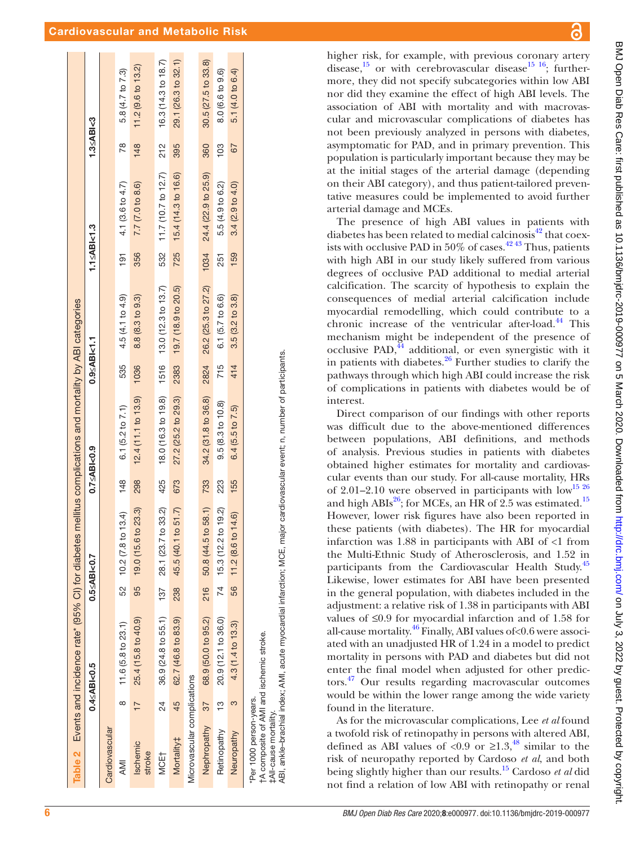|                             |                | Table 2 Events and incidence rate* (95% CI) for diabetes |     |                                                                                                                                                                                                                                                            |     | mellitus complications and mortality by ABI categories |                        |                     |                      |                         |                   |                     |
|-----------------------------|----------------|----------------------------------------------------------|-----|------------------------------------------------------------------------------------------------------------------------------------------------------------------------------------------------------------------------------------------------------------|-----|--------------------------------------------------------|------------------------|---------------------|----------------------|-------------------------|-------------------|---------------------|
|                             |                | $0.4<$ <b>ABI&lt;0.5</b>                                 |     | $0.5$ <abi<0.7< th=""><th></th><th><math>0.7 \leq AB &lt; 0.9</math></th><th><math>0.9</math> <math>\times</math> ABI&lt;1.1</th><th></th><th><math>1.1 \leq ABI &lt; 1.3</math></th><th></th><th><math>1.3 \leq AB &lt; 3</math></th><th></th></abi<0.7<> |     | $0.7 \leq AB < 0.9$                                    | $0.9$ $\times$ ABI<1.1 |                     | $1.1 \leq ABI < 1.3$ |                         | $1.3 \leq AB < 3$ |                     |
| Cardiovascular              |                |                                                          |     |                                                                                                                                                                                                                                                            |     |                                                        |                        |                     |                      |                         |                   |                     |
| <b>RNI</b>                  | $\infty$       | $11.6(5.8 \text{ to } 23.1)$                             |     | 13.4<br>$52$ $10.2 (7.8)$ to                                                                                                                                                                                                                               | 148 | 6.1(5.2 to 7.1)                                        | 535                    | 4.5 (4.1 to 4.9)    | 191                  | 4.1 (3.6 to 4.7)        | rø                | 5.8 (4.7 to 7.3)    |
| Ischemic<br>stroke          | $\overline{1}$ | 25.4 (15.8 to 40.9)                                      | 95  | 23.3)<br>19.0 (15.6 to                                                                                                                                                                                                                                     | 298 | 12.4 (11.1 to 13.9)                                    | 1036                   | 8.8 (8.3 to 9.3)    | 356                  | 7.7 (7.0 to 8.6)        | 148               | 11.2 (9.6 to 13.2)  |
| MCE <sub>T</sub>            | 24             | 36.9 (24.8 to 55.1)                                      | 137 | 33.2)<br>28.1 (23.7 to                                                                                                                                                                                                                                     | 425 | 18.0 (16.3 to 19.8)                                    | 1516                   | 13.0 (12.3 to 13.7) | 532                  | 11.7 (10.7 to 12.7)     | 212               | 16.3 (14.3 to 18.7) |
| Mortality‡                  | 45             | 62.7 (46.8 to 83.9)                                      | 238 | 51.7<br>45.5 (40.1 to                                                                                                                                                                                                                                      | 673 | 27.2 (25.2 to 29.3)                                    | 2383                   | 19.7 (18.9 to 20.5) |                      | 725 15.4 (14.3 to 16.6) | 395               | 29.1 (26.3 to 32.1) |
| Microvascular complications |                |                                                          |     |                                                                                                                                                                                                                                                            |     |                                                        |                        |                     |                      |                         |                   |                     |
| Nephropathy 37              |                | 68.9 (50.0 to 95.2)                                      |     | 58.1)<br>216 50.8 (44.5 to                                                                                                                                                                                                                                 | 733 | 34.2 (31.8 to 36.8)                                    | 2824                   | 26.2 (25.3 to 27.2) | 1034                 | 24.4 (22.9 to 25.9)     | 360               | 30.5 (27.5 to 33.8) |
| Retinopathy                 | က်<br>(        | 20.9 (12.1 to 36.0)                                      | 74  | 19.2<br>15.3 (12.2 to                                                                                                                                                                                                                                      | 23  | 9.5(8.3 to 10.8)                                       | 715                    | 6.1 (5.7 to 6.6)    | 251                  | 5.5 (4.9 to 6.2)        | 103               | 8.0 (6.6 to 9.6)    |
| Neuropathy                  | c,             | 4.3 (1.4 to 13.3)                                        |     | (4.6)<br>56 11.2 (8.6 to 1                                                                                                                                                                                                                                 | 155 | 6.4(5.5 to 7.5)                                        | 414                    | 3.5(3.2 to 3.8)     | 159                  | 3.4(2.9 to 4.0)         | 67                | 5.1 (4.0 to 6.4)    |
| *Per 1000 person-years.     |                | tA composite of AMI and ischemic stroke.                 |     |                                                                                                                                                                                                                                                            |     |                                                        |                        |                     |                      |                         |                   |                     |

‡All-cause mortality.

<span id="page-5-0"></span>‡All-cause mortality.<br>ABI, ankle-brachial i

ABI, ankle–brachial index; AMI, acute myocardial infarction; MCE, major cardiovascular event; n, number of participants.

ankle-brachial index; AMI, acute myocardial infarction; MCE, major cardiovascular event; n, number of participants.

6 higher risk, for example, with previous coronary artery disease, $15$  or with cerebrovascular disease  $15$  16; furthermore, they did not specify subcategories within low ABI nor did they examine the effect of high ABI levels. The association of ABI with mortality and with macrovascular and microvascular complications of diabetes has not been previously analyzed in persons with diabetes, asymptomatic for PAD, and in primary prevention. This population is particularly important because they may be

arterial damage and MCEs. The presence of high ABI values in patients with diabetes has been related to medial calcinosis<sup>42</sup> that coexists with occlusive PAD in  $50\%$  of cases.<sup>42,43</sup> Thus, patients with high ABI in our study likely suffered from various degrees of occlusive PAD additional to medial arterial calcification. The scarcity of hypothesis to explain the consequences of medial arterial calcification include myocardial remodelling, which could contribute to a chronic increase of the ventricular after-load.<sup>[44](#page-9-2)</sup> This mechanism might be independent of the presence of occlusive PAD, $\frac{44}{14}$  additional, or even synergistic with it in patients with diabetes. $^{26}$  Further studies to clarify the pathways through which high ABI could increase the risk of complications in patients with diabetes would be of interest.

at the initial stages of the arterial damage (depending on their ABI category), and thus patient-tailored preventative measures could be implemented to avoid further

Direct comparison of our findings with other reports was difficult due to the above-mentioned differences between populations, ABI definitions, and methods of analysis. Previous studies in patients with diabetes obtained higher estimates for mortality and cardiovascular events than our study. For all-cause mortality, HRs of 2.01–2.10 were observed in participants with  $\frac{15^{26}}{26}$ and high ABIs<sup>26</sup>; for MCEs, an HR of 2.5 was estimated.<sup>15</sup> However, lower risk figures have also been reported in these patients (with diabetes). The HR for myocardial infarction was  $1.88$  in participants with ABI of  $\langle 1 \text{ from} \rangle$ the Multi-Ethnic Study of Atherosclerosis, and 1.52 in participants from the Cardiovascular Health Study.<sup>[45](#page-9-3)</sup> Likewise, lower estimates for ABI have been presented in the general population, with diabetes included in the adjustment: a relative risk of 1.38 in participants with ABI values of ≤0.9 for myocardial infarction and of 1.58 for all-cause mortality.<sup>[46](#page-9-4)</sup> Finally, ABI values of <0.6 were associated with an unadjusted HR of 1.24 in a model to predict mortality in persons with PAD and diabetes but did not enter the final model when adjusted for other predictors.[47](#page-9-5) Our results regarding macrovascular outcomes would be within the lower range among the wide variety found in the literature.

As for the microvascular complications, Lee *et al* found a twofold risk of retinopathy in persons with altered ABI, defined as ABI values of <0.9 or  $\geq 1.3$ ,<sup>[48](#page-9-6)</sup> similar to the risk of neuropathy reported by Cardoso *et al*, and both being slightly higher than our results.[15](#page-8-11) Cardoso *et al* did not find a relation of low ABI with retinopathy or renal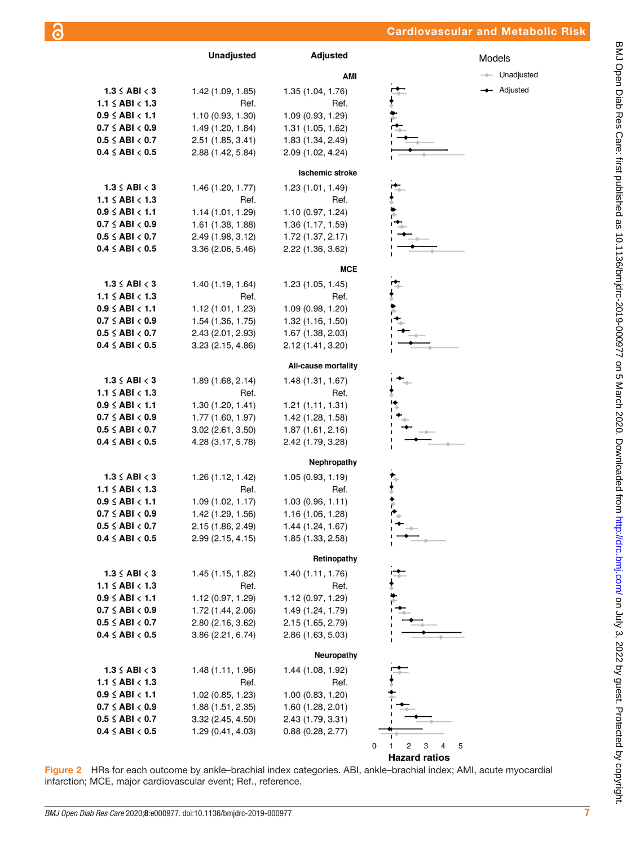

<span id="page-6-0"></span>Figure 2 HRs for each outcome by ankle–brachial index categories. ABI, ankle–brachial index; AMI, acute myocardial infarction; MCE, major cardiovascular event; Ref., reference.

1

**Hazard ratios**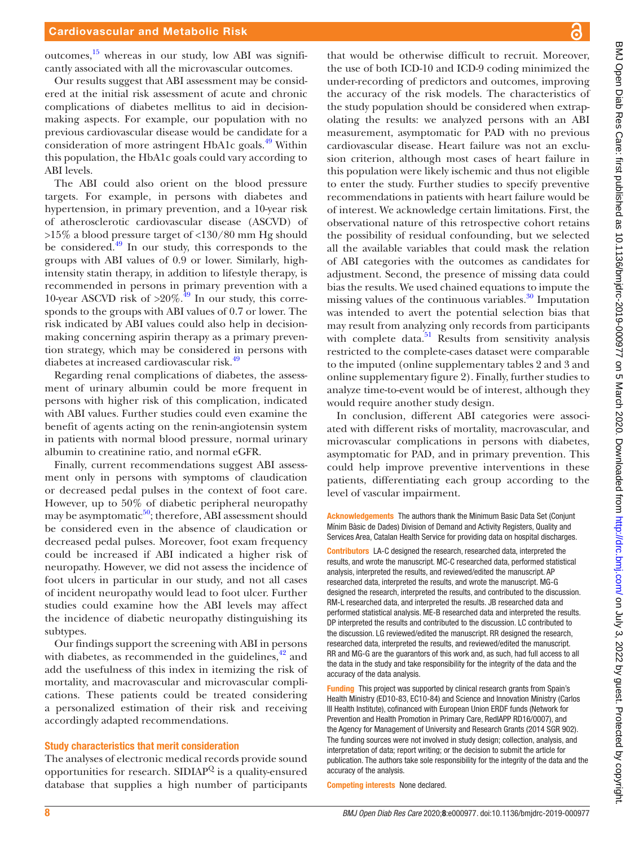outcomes, $^{15}$  $^{15}$  $^{15}$  whereas in our study, low ABI was significantly associated with all the microvascular outcomes.

Our results suggest that ABI assessment may be considered at the initial risk assessment of acute and chronic complications of diabetes mellitus to aid in decisionmaking aspects. For example, our population with no previous cardiovascular disease would be candidate for a consideration of more astringent HbA1c goals. $49$  Within this population, the HbA1c goals could vary according to ABI levels.

The ABI could also orient on the blood pressure targets. For example, in persons with diabetes and hypertension, in primary prevention, and a 10-year risk of atherosclerotic cardiovascular disease (ASCVD) of >15% a blood pressure target of <130/80 mm Hg should be considered.<sup>49</sup> In our study, this corresponds to the groups with ABI values of 0.9 or lower. Similarly, highintensity statin therapy, in addition to lifestyle therapy, is recommended in persons in primary prevention with a 10-year ASCVD risk of  $>20\%$ .<sup>49</sup> In our study, this corresponds to the groups with ABI values of 0.7 or lower. The risk indicated by ABI values could also help in decisionmaking concerning aspirin therapy as a primary prevention strategy, which may be considered in persons with diabetes at increased cardiovascular risk.<sup>49</sup>

Regarding renal complications of diabetes, the assessment of urinary albumin could be more frequent in persons with higher risk of this complication, indicated with ABI values. Further studies could even examine the benefit of agents acting on the renin-angiotensin system in patients with normal blood pressure, normal urinary albumin to creatinine ratio, and normal eGFR.

Finally, current recommendations suggest ABI assessment only in persons with symptoms of claudication or decreased pedal pulses in the context of foot care. However, up to 50% of diabetic peripheral neuropathy may be asymptomatic $50$ ; therefore, ABI assessment should be considered even in the absence of claudication or decreased pedal pulses. Moreover, foot exam frequency could be increased if ABI indicated a higher risk of neuropathy. However, we did not assess the incidence of foot ulcers in particular in our study, and not all cases of incident neuropathy would lead to foot ulcer. Further studies could examine how the ABI levels may affect the incidence of diabetic neuropathy distinguishing its subtypes.

Our findings support the screening with ABI in persons with diabetes, as recommended in the guidelines, $42$  and add the usefulness of this index in itemizing the risk of mortality, and macrovascular and microvascular complications. These patients could be treated considering a personalized estimation of their risk and receiving accordingly adapted recommendations.

#### Study characteristics that merit consideration

The analyses of electronic medical records provide sound opportunities for research.  $\text{SIDIAP}^{\text{Q}}$  is a quality-ensured database that supplies a high number of participants

that would be otherwise difficult to recruit. Moreover, the use of both ICD-10 and ICD-9 coding minimized the under-recording of predictors and outcomes, improving the accuracy of the risk models. The characteristics of the study population should be considered when extrapolating the results: we analyzed persons with an ABI measurement, asymptomatic for PAD with no previous cardiovascular disease. Heart failure was not an exclusion criterion, although most cases of heart failure in this population were likely ischemic and thus not eligible to enter the study. Further studies to specify preventive recommendations in patients with heart failure would be of interest. We acknowledge certain limitations. First, the observational nature of this retrospective cohort retains the possibility of residual confounding, but we selected all the available variables that could mask the relation of ABI categories with the outcomes as candidates for adjustment. Second, the presence of missing data could bias the results. We used chained equations to impute the missing values of the continuous variables. $30$  Imputation was intended to avert the potential selection bias that may result from analyzing only records from participants with complete data. $51$  Results from sensitivity analysis restricted to the complete-cases dataset were comparable to the imputed [\(online supplementary tables 2 and 3](https://dx.doi.org/10.1136/bmjdrc-2019-000977) and [online supplementary figure 2](https://dx.doi.org/10.1136/bmjdrc-2019-000977)). Finally, further studies to analyze time-to-event would be of interest, although they would require another study design.

In conclusion, different ABI categories were associated with different risks of mortality, macrovascular, and microvascular complications in persons with diabetes, asymptomatic for PAD, and in primary prevention. This could help improve preventive interventions in these patients, differentiating each group according to the level of vascular impairment.

Acknowledgements The authors thank the Minimum Basic Data Set (Conjunt Mínim Bàsic de Dades) Division of Demand and Activity Registers, Quality and Services Area, Catalan Health Service for providing data on hospital discharges.

Contributors LA-C designed the research, researched data, interpreted the results, and wrote the manuscript. MC-C researched data, performed statistical analysis, interpreted the results, and reviewed/edited the manuscript. AP researched data, interpreted the results, and wrote the manuscript. MG-G designed the research, interpreted the results, and contributed to the discussion. RM-L researched data, and interpreted the results. JB researched data and performed statistical analysis. ME-B researched data and interpreted the results. DP interpreted the results and contributed to the discussion. LC contributed to the discussion. LG reviewed/edited the manuscript. RR designed the research, researched data, interpreted the results, and reviewed/edited the manuscript. RR and MG-G are the guarantors of this work and, as such, had full access to all the data in the study and take responsibility for the integrity of the data and the accuracy of the data analysis.

Funding This project was supported by clinical research grants from Spain's Health Ministry (ED10-83, EC10-84) and Science and Innovation Ministry (Carlos III Health Institute), cofinanced with European Union ERDF funds (Network for Prevention and Health Promotion in Primary Care, RedIAPP RD16/0007), and the Agency for Management of University and Research Grants (2014 SGR 902). The funding sources were not involved in study design; collection, analysis, and interpretation of data; report writing; or the decision to submit the article for publication. The authors take sole responsibility for the integrity of the data and the accuracy of the analysis.

Competing interests None declared.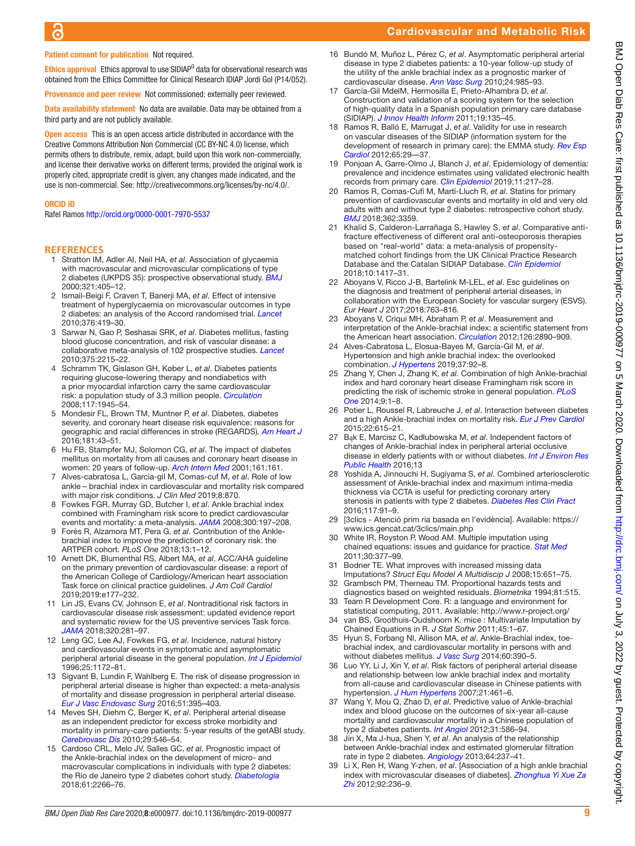Patient consent for publication Not required.

Ethics approval Ethics approval to use SIDIAP<sup>Q</sup> data for observational research was obtained from the Ethics Committee for Clinical Research IDIAP Jordi Gol (P14/052).

Provenance and peer review Not commissioned; externally peer reviewed.

Data availability statement No data are available. Data may be obtained from a third party and are not publicly available.

**Open access** This is an open access article distributed in accordance with the Creative Commons Attribution Non Commercial (CC BY-NC 4.0) license, which permits others to distribute, remix, adapt, build upon this work non-commercially, and license their derivative works on different terms, provided the original work is properly cited, appropriate credit is given, any changes made indicated, and the use is non-commercial. See:<http://creativecommons.org/licenses/by-nc/4.0/>.

#### ORCID iD

Rafel Ramos<http://orcid.org/0000-0001-7970-5537>

#### **References**

- <span id="page-8-0"></span>1 Stratton IM, Adler AI, Neil HA, *et al*. Association of glycaemia with macrovascular and microvascular complications of type 2 diabetes (UKPDS 35): prospective observational study. *[BMJ](http://dx.doi.org/10.1136/bmj.321.7258.405)* 2000;321:405–12.
- 2 Ismail-Beigi F, Craven T, Banerji MA, *et al*. Effect of intensive treatment of hyperglycaemia on microvascular outcomes in type 2 diabetes: an analysis of the Accord randomised trial. *[Lancet](http://dx.doi.org/10.1016/S0140-6736(10)60576-4)* 2010;376:419–30.
- <span id="page-8-1"></span>3 Sarwar N, Gao P, Seshasai SRK, *et al*. Diabetes mellitus, fasting blood glucose concentration, and risk of vascular disease: a collaborative meta-analysis of 102 prospective studies. *[Lancet](http://dx.doi.org/10.1016/S0140-6736(10)60484-9)* 2010;375:2215–22.
- <span id="page-8-2"></span>4 Schramm TK, Gislason GH, Køber L, *et al*. Diabetes patients requiring glucose-lowering therapy and nondiabetics with a prior myocardial infarction carry the same cardiovascular risk: a population study of 3.3 million people. *[Circulation](http://dx.doi.org/10.1161/CIRCULATIONAHA.107.720847)* 2008;117:1945–54.
- 5 Mondesir FL, Brown TM, Muntner P, *et al*. Diabetes, diabetes severity, and coronary heart disease risk equivalence: reasons for geographic and racial differences in stroke (REGARDS). *[Am Heart J](http://dx.doi.org/10.1016/j.ahj.2016.08.002)* 2016;181:43–51.
- <span id="page-8-3"></span>6 Hu FB, Stampfer MJ, Solomon CG, *et al*. The impact of diabetes mellitus on mortality from all causes and coronary heart disease in women: 20 years of follow-up. *[Arch Intern Med](http://dx.doi.org/10.1001/archinte.161.14.1717)* 2001;161:161.
- <span id="page-8-4"></span>7 Alves-cabratosa L, Garcia-gil M, Comas-cuf M, *et al*. Role of low ankle – brachial index in cardiovascular and mortality risk compared with major risk conditions. *J Clin Med* 2019;8:870.
- <span id="page-8-5"></span>8 Fowkes FGR, Murray GD, Butcher I, *et al*. Ankle brachial index combined with Framingham risk score to predict cardiovascular events and mortality: a meta-analysis. *[JAMA](http://dx.doi.org/10.1001/jama.300.2.197)* 2008;300:197–208.
- 9 Forés R, Alzamora MT, Pera G, *et al*. Contribution of the Anklebrachial index to improve the prediction of coronary risk: the ARTPER cohort. *PLoS One* 2018;13:1–12.
- <span id="page-8-7"></span>10 Arnett DK, Blumenthal RS, Albert MA, *et al*. ACC/AHA guideline on the primary prevention of cardiovascular disease: a report of the American College of Cardiology/American heart association Task force on clinical practice guidelines. *J Am Coll Cardiol* 2019;2019:e177–232.
- <span id="page-8-6"></span>11 Lin JS, Evans CV, Johnson E, *et al*. Nontraditional risk factors in cardiovascular disease risk assessment: updated evidence report and systematic review for the US preventive services Task force. *[JAMA](http://dx.doi.org/10.1001/jama.2018.4242)* 2018;320:281–97.
- <span id="page-8-8"></span>12 Leng GC, Lee AJ, Fowkes FG, *et al*. Incidence, natural history and cardiovascular events in symptomatic and asymptomatic peripheral arterial disease in the general population. *[Int J Epidemiol](http://dx.doi.org/10.1093/ije/25.6.1172)* 1996;25:1172–81.
- <span id="page-8-9"></span>13 Sigvant B, Lundin F, Wahlberg E. The risk of disease progression in peripheral arterial disease is higher than expected: a meta-analysis of mortality and disease progression in peripheral arterial disease. *[Eur J Vasc Endovasc Surg](http://dx.doi.org/10.1016/j.ejvs.2015.10.022)* 2016;51:395–403.
- <span id="page-8-10"></span>14 Meves SH, Diehm C, Berger K, *et al*. Peripheral arterial disease as an independent predictor for excess stroke morbidity and mortality in primary-care patients: 5-year results of the getABI study. *[Cerebrovasc Dis](http://dx.doi.org/10.1159/000306640)* 2010;29:546–54.
- <span id="page-8-11"></span>15 Cardoso CRL, Melo JV, Salles GC, *et al*. Prognostic impact of the Ankle-brachial index on the development of micro- and macrovascular complications in individuals with type 2 diabetes: the Rio de Janeiro type 2 diabetes cohort study. *[Diabetologia](http://dx.doi.org/10.1007/s00125-018-4709-9)* 2018;61:2266–76.
- 16 Bundó M, Muñoz L, Pérez C, *et al*. Asymptomatic peripheral arterial disease in type 2 diabetes patients: a 10-year follow-up study of the utility of the ankle brachial index as a prognostic marker of cardiovascular disease. *[Ann Vasc Surg](http://dx.doi.org/10.1016/j.avsg.2010.06.001)* 2010;24:985–93.
- <span id="page-8-12"></span>17 García-Gil MdelM, Hermosilla E, Prieto-Alhambra D, *et al*. Construction and validation of a scoring system for the selection of high-quality data in a Spanish population primary care database (SIDIAP). *[J Innov Health Inform](http://dx.doi.org/10.14236/jhi.v19i3.806)* 2011;19:135–45.
- <span id="page-8-13"></span>18 Ramos R, Balló E, Marrugat J, *et al*. Validity for use in research on vascular diseases of the SIDIAP (information system for the development of research in primary care): the EMMA study. *[Rev Esp](http://dx.doi.org/10.1016/j.recesp.2011.07.017)  [Cardiol](http://dx.doi.org/10.1016/j.recesp.2011.07.017)* 2012;65:29––37.
- <span id="page-8-14"></span>19 Ponjoan A, Garre-Olmo J, Blanch J, *et al*. Epidemiology of dementia: prevalence and incidence estimates using validated electronic health records from primary care. *[Clin Epidemiol](http://dx.doi.org/10.2147/CLEP.S186590)* 2019;11:217–28.
- 20 Ramos R, Comas-Cufí M, Martí-Lluch R, *et al*. Statins for primary prevention of cardiovascular events and mortality in old and very old adults with and without type 2 diabetes: retrospective cohort study. *[BMJ](http://dx.doi.org/10.1136/bmj.k3359)* 2018;362:3359.
- 21 Khalid S, Calderon-Larrañaga S, Hawley S, *et al*. Comparative antifracture effectiveness of different oral anti-osteoporosis therapies based on "real-world" data: a meta-analysis of propensitymatched cohort findings from the UK Clinical Practice Research Database and the Catalan SIDIAP Database. *[Clin Epidemiol](http://dx.doi.org/10.2147/CLEP.S164112)* 2018;10:1417–31.
- <span id="page-8-15"></span>22 Aboyans V, Ricco J-B, Bartelink M-LEL, *et al*. Esc guidelines on the diagnosis and treatment of peripheral arterial diseases, in collaboration with the European Society for vascular surgery (ESVS). *Eur Heart J* 2017;2018:763–816.
- <span id="page-8-16"></span>23 Aboyans V, Criqui MH, Abraham P, *et al*. Measurement and interpretation of the Ankle-brachial index: a scientific statement from the American heart association. *[Circulation](http://dx.doi.org/10.1161/CIR.0b013e318276fbcb)* 2012;126:2890–909.
- 24 Alves-Cabratosa L, Elosua-Bayes M, García-Gil M, *et al*. Hypertension and high ankle brachial index: the overlooked combination. *[J Hypertens](http://dx.doi.org/10.1097/HJH.0000000000001861)* 2019;37:92–8.
- <span id="page-8-17"></span>25 Zhang Y, Chen J, Zhang K, *et al*. Combination of high Ankle-brachial index and hard coronary heart disease Framingham risk score in predicting the risk of ischemic stroke in general population. *[PLoS](http://dx.doi.org/10.1371/journal.pone.0106251)  [One](http://dx.doi.org/10.1371/journal.pone.0106251)* 2014;9:1–8.
- <span id="page-8-18"></span>26 Potier L, Roussel R, Labreuche J, *et al*. Interaction between diabetes and a high Ankle-brachial index on mortality risk. *[Eur J Prev Cardiol](http://dx.doi.org/10.1177/2047487314533621)* 2015;22:615–21.
- <span id="page-8-19"></span>27 Bąk E, Marcisz C, Kadłubowska M, *et al*. Independent factors of changes of Ankle-brachial index in peripheral arterial occlusive disease in elderly patients with or without diabetes. *[Int J Environ Res](http://dx.doi.org/10.3390/ijerph13111103)  [Public Health](http://dx.doi.org/10.3390/ijerph13111103)* 2016;13
- 28 Yoshida A, Jinnouchi H, Sugiyama S, *et al*. Combined arteriosclerotic assessment of Ankle-brachial index and maximum intima-media thickness via CCTA is useful for predicting coronary artery stenosis in patients with type 2 diabetes. *[Diabetes Res Clin Pract](http://dx.doi.org/10.1016/j.diabres.2016.04.013)* 2016;117:91–9.
- <span id="page-8-20"></span>29 [3clics - Atenció prim ria basada en l'evidència]. Available: [https://](https://www.ics.gencat.cat/3clics/main.php) [www.ics.gencat.cat/3clics/main.php](https://www.ics.gencat.cat/3clics/main.php)
- <span id="page-8-21"></span>30 White IR, Royston P, Wood AM. Multiple imputation using chained equations: issues and guidance for practice. *[Stat Med](http://dx.doi.org/10.1002/sim.4067)* 2011;30:377–99.
- <span id="page-8-22"></span>31 Bodner TE. What improves with increased missing data Imputations? *Struct Equ Model A Multidiscip J* 2008;15:651–75.
- <span id="page-8-23"></span>32 Grambsch PM, Therneau TM. Proportional hazards tests and diagnostics based on weighted residuals. *Biometrika* 1994;81:515.
- <span id="page-8-24"></span>33 Team R Development Core. R: a language and environment for statistical computing, 2011. Available: <http://www.r-project.org/>
- <span id="page-8-25"></span>34 van BS, Groothuis-Oudshoorn K. mice : Multivariate Imputation by Chained Equations in R. *J Stat Softw* 2011;45:1–67.
- <span id="page-8-26"></span>35 Hyun S, Forbang NI, Allison MA, *et al*. Ankle-Brachial index, toebrachial index, and cardiovascular mortality in persons with and without diabetes mellitus. *[J Vasc Surg](http://dx.doi.org/10.1016/j.jvs.2014.02.008)* 2014;60:390–5.
- 36 Luo YY, Li J, Xin Y, *et al*. Risk factors of peripheral arterial disease and relationship between low ankle brachial index and mortality from all-cause and cardiovascular disease in Chinese patients with hypertension. *[J Hum Hypertens](http://dx.doi.org/10.1038/sj.jhh.1002177)* 2007;21:461–6.
- 37 Wang Y, Mou Q, Zhao D, *et al*. Predictive value of Ankle-brachial index and blood glucose on the outcomes of six-year all-cause mortality and cardiovascular mortality in a Chinese population of type 2 diabetes patients. *[Int Angiol](http://www.ncbi.nlm.nih.gov/pubmed/23222938)* 2012;31:586–94.
- <span id="page-8-27"></span>Jin X, Ma J-hua, Shen Y, et al. An analysis of the relationship between Ankle-brachial index and estimated glomerular filtration rate in type 2 diabetes. *[Angiology](http://dx.doi.org/10.1177/0003319712464515)* 2013;64:237–41.
- 39 Li X, Ren H, Wang Y-zhen, *et al*. [Association of a high ankle brachial index with microvascular diseases of diabetes]. *[Zhonghua Yi Xue Za](http://www.ncbi.nlm.nih.gov/pubmed/22490793)  [Zhi](http://www.ncbi.nlm.nih.gov/pubmed/22490793)* 2012;92:236–9.